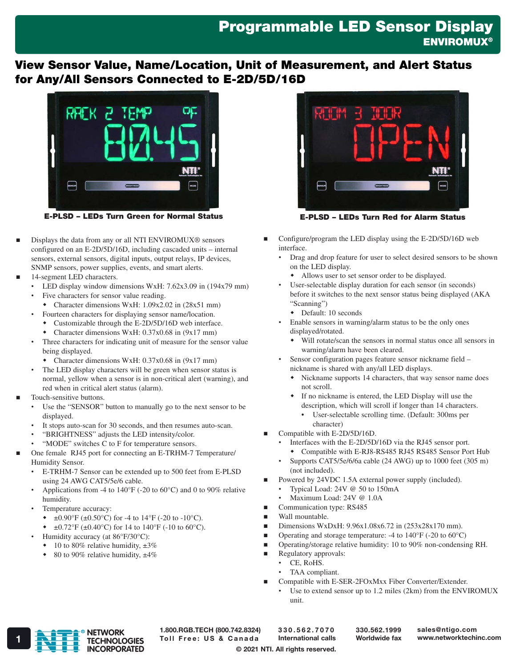## Programmable LED Sensor Display **ENVIROMUX®**

## View Sensor Value, Name/Location, Unit of Measurement, and Alert Status for Any/All Sensors Connected to E-2D/5D/16D



E-PLSD – LEDs Turn Green for Normal Status

- Displays the data from any or all NTI ENVIROMUX® sensors configured on an E-2D/5D/16D, including cascaded units – internal sensors, external sensors, digital inputs, output relays, IP devices, SNMP sensors, power supplies, events, and smart alerts.
- 14-segment LED characters.
	- LED display window dimensions WxH: 7.62x3.09 in (194x79 mm)
	- Five characters for sensor value reading.
	- Character dimensions WxH: 1.09x2.02 in (28x51 mm)
	- Fourteen characters for displaying sensor name/location.
	- Customizable through the E-2D/5D/16D web interface.
	- Character dimensions WxH: 0.37x0.68 in (9x17 mm)
	- Three characters for indicating unit of measure for the sensor value being displayed.
	- Character dimensions WxH: 0.37x0.68 in (9x17 mm)
	- The LED display characters will be green when sensor status is normal, yellow when a sensor is in non-critical alert (warning), and red when in critical alert status (alarm).
- Touch-sensitive buttons.
	- Use the "SENSOR" button to manually go to the next sensor to be displayed.
	- It stops auto-scan for 30 seconds, and then resumes auto-scan.
	- "BRIGHTNESS" adjusts the LED intensity/color.
	- "MODE" switches C to F for temperature sensors.
- One female RJ45 port for connecting an E-TRHM-7 Temperature/ Humidity Sensor.
	- E-TRHM-7 Sensor can be extended up to 500 feet from E-PLSD using 24 AWG CAT5/5e/6 cable.
	- Applications from -4 to 140°F (-20 to 60°C) and 0 to 90% relative humidity.
	- Temperature accuracy:
		- $\div$  ±0.90°F (±0.50°C) for -4 to 14°F (-20 to -10°C).
		- $\div$  ±0.72°F (±0.40°C) for 14 to 140°F (-10 to 60°C).
	- Humidity accuracy (at 86°F/30°C):
	- $\cdot$  10 to 80% relative humidity,  $\pm 3\%$
	- 80 to 90% relative humidity,  $\pm 4\%$



E-PLSD – LEDs Turn Red for Alarm Status

- Configure/program the LED display using the E-2D/5D/16D web interface.
	- Drag and drop feature for user to select desired sensors to be shown on the LED display.
		- Allows user to set sensor order to be displayed.
	- User-selectable display duration for each sensor (in seconds) before it switches to the next sensor status being displayed (AKA "Scanning")
		- Default: 10 seconds
	- Enable sensors in warning/alarm status to be the only ones displayed/rotated.
		- Will rotate/scan the sensors in normal status once all sensors in warning/alarm have been cleared.
	- Sensor configuration pages feature sensor nickname field nickname is shared with any/all LED displays.
		- Nickname supports 14 characters, that way sensor name does not scroll.
		- If no nickname is entered, the LED Display will use the description, which will scroll if longer than 14 characters.
			- User-selectable scrolling time. (Default: 300ms per character)
- Compatible with E-2D/5D/16D.
	- Interfaces with the E-2D/5D/16D via the RJ45 sensor port. Compatible with E-RJ8-RS485 RJ45 RS485 Sensor Port Hub
	- Supports CAT5/5e/6/6a cable (24 AWG) up to 1000 feet (305 m) (not included).
- Powered by 24VDC 1.5A external power supply (included).
	- Typical Load: 24V @ 50 to 150mA
	- Maximum Load: 24V @ 1.0A
- Communication type: RS485
- **Nall mountable.**
- Dimensions WxDxH:  $9.96x1.08x6.72$  in  $(253x28x170$  mm).
- **Operating and storage temperature:** -4 to  $140^{\circ}$ F (-20 to  $60^{\circ}$ C)
- Operating/storage relative humidity: 10 to 90% non-condensing RH.
- **Regulatory approvals:** 
	- CE, RoHS.
	- TAA compliant.
- Compatible with E-SER-2FOxMxx Fiber Converter/Extender.
	- Use to extend sensor up to 1.2 miles (2km) from the ENVIROMUX unit.



1.800.RGB.TECH (800.742.8324)

330.562.7070 International calls

330.562.1999 Worldwide fax

© 2021 NTI. All rights reserved.